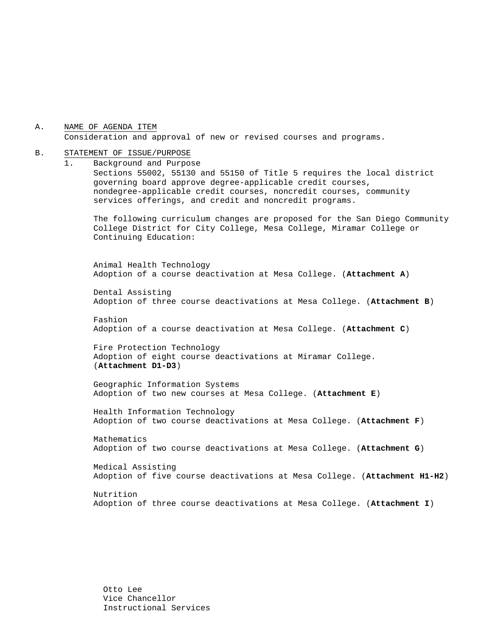A. NAME OF AGENDA ITEM Consideration and approval of new or revised courses and programs.

#### B. STATEMENT OF ISSUE/PURPOSE

1. Background and Purpose Sections 55002, 55130 and 55150 of Title 5 requires the local district governing board approve degree-applicable credit courses, nondegree-applicable credit courses, noncredit courses, community services offerings, and credit and noncredit programs.

The following curriculum changes are proposed for the San Diego Community College District for City College, Mesa College, Miramar College or Continuing Education:

 Animal Health Technology Adoption of a course deactivation at Mesa College. (**Attachment A**)

Dental Assisting Adoption of three course deactivations at Mesa College. (**Attachment B**)

Fashion Adoption of a course deactivation at Mesa College. (**Attachment C**)

Fire Protection Technology Adoption of eight course deactivations at Miramar College. (**Attachment D1-D3**)

Geographic Information Systems Adoption of two new courses at Mesa College. (**Attachment E**)

Health Information Technology Adoption of two course deactivations at Mesa College. (**Attachment F**)

Mathematics Adoption of two course deactivations at Mesa College. (**Attachment G**)

Medical Assisting Adoption of five course deactivations at Mesa College. (**Attachment H1-H2**)

Nutrition Adoption of three course deactivations at Mesa College. (**Attachment I**)

Otto Lee Vice Chancellor Instructional Services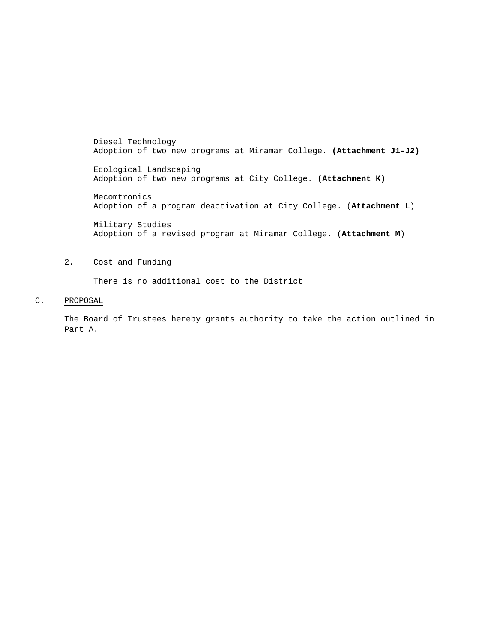Diesel Technology Adoption of two new programs at Miramar College. **(Attachment J1-J2)** 

Ecological Landscaping Adoption of two new programs at City College. **(Attachment K)**

Mecomtronics Adoption of a program deactivation at City College. (**Attachment L**)

Military Studies Adoption of a revised program at Miramar College. (**Attachment M**)

#### 2. Cost and Funding

There is no additional cost to the District

#### C. PROPOSAL

The Board of Trustees hereby grants authority to take the action outlined in Part A.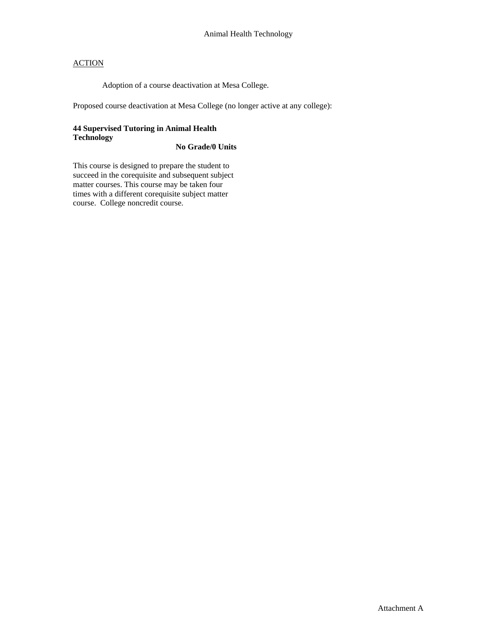Adoption of a course deactivation at Mesa College.

Proposed course deactivation at Mesa College (no longer active at any college):

## **44 Supervised Tutoring in Animal Health Technology**

### **No Grade/0 Units**

This course is designed to prepare the student to succeed in the corequisite and subsequent subject matter courses. This course may be taken four times with a different corequisite subject matter course. College noncredit course.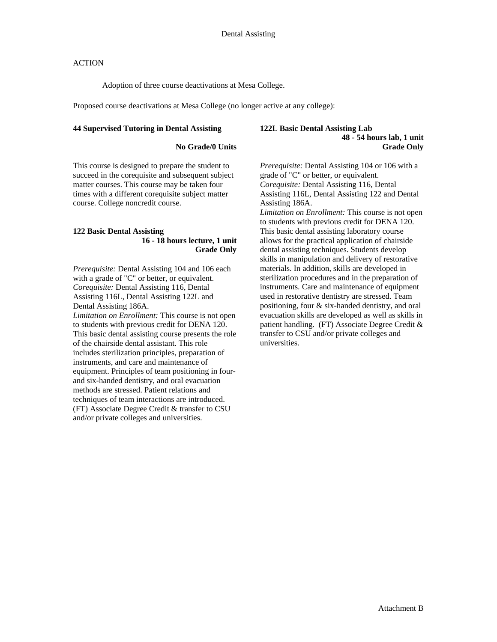Adoption of three course deactivations at Mesa College.

Proposed course deactivations at Mesa College (no longer active at any college):

#### **44 Supervised Tutoring in Dental Assisting**

#### **No Grade/0 Units**

This course is designed to prepare the student to succeed in the corequisite and subsequent subject matter courses. This course may be taken four times with a different corequisite subject matter course. College noncredit course.

#### **122 Basic Dental Assisting 16 - 18 hours lecture, 1 unit Grade Only**

*Prerequisite:* Dental Assisting 104 and 106 each with a grade of "C" or better, or equivalent. *Corequisite:* Dental Assisting 116, Dental Assisting 116L, Dental Assisting 122L and Dental Assisting 186A. *Limitation on Enrollment:* This course is not open to students with previous credit for DENA 120. This basic dental assisting course presents the role of the chairside dental assistant. This role includes sterilization principles, preparation of instruments, and care and maintenance of equipment. Principles of team positioning in fourand six-handed dentistry, and oral evacuation methods are stressed. Patient relations and techniques of team interactions are introduced. (FT) Associate Degree Credit & transfer to CSU and/or private colleges and universities.

#### **122L Basic Dental Assisting Lab 48 - 54 hours lab, 1 unit Grade Only**

*Prerequisite:* Dental Assisting 104 or 106 with a grade of "C" or better, or equivalent. *Corequisite:* Dental Assisting 116, Dental Assisting 116L, Dental Assisting 122 and Dental Assisting 186A. *Limitation on Enrollment:* This course is not open to students with previous credit for DENA 120. This basic dental assisting laboratory course allows for the practical application of chairside dental assisting techniques. Students develop skills in manipulation and delivery of restorative materials. In addition, skills are developed in sterilization procedures and in the preparation of instruments. Care and maintenance of equipment used in restorative dentistry are stressed. Team positioning, four & six-handed dentistry, and oral evacuation skills are developed as well as skills in patient handling. (FT) Associate Degree Credit & transfer to CSU and/or private colleges and universities.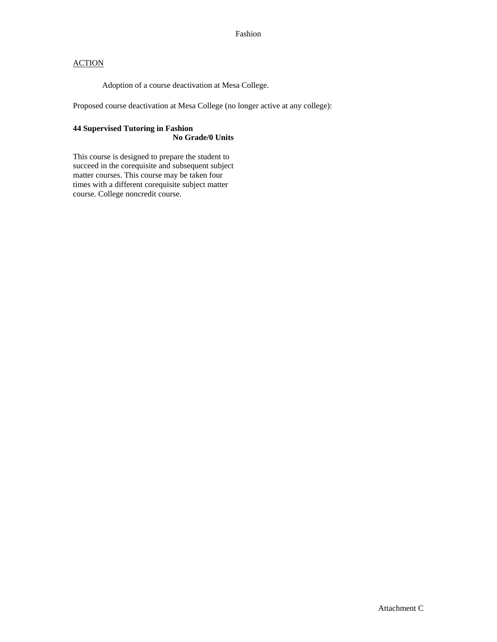Adoption of a course deactivation at Mesa College.

Proposed course deactivation at Mesa College (no longer active at any college):

### **44 Supervised Tutoring in Fashion No Grade/0 Units**

This course is designed to prepare the student to succeed in the corequisite and subsequent subject matter courses. This course may be taken four times with a different corequisite subject matter course. College noncredit course.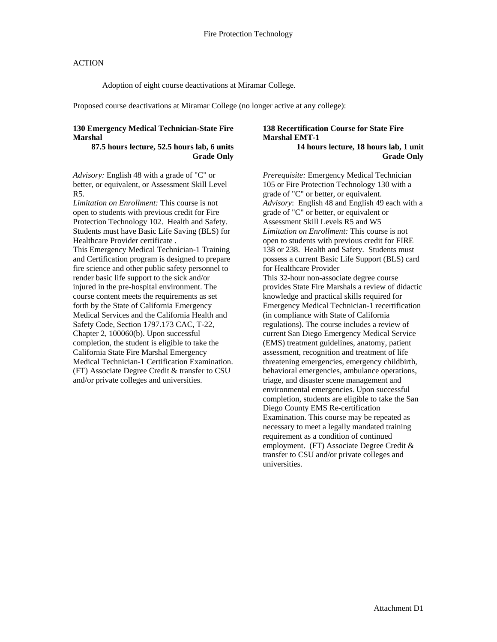Adoption of eight course deactivations at Miramar College.

Proposed course deactivations at Miramar College (no longer active at any college):

#### **130 Emergency Medical Technician-State Fire Marshal**

#### **87.5 hours lecture, 52.5 hours lab, 6 units Grade Only**

*Advisory:* English 48 with a grade of "C" or better, or equivalent, or Assessment Skill Level R5.

*Limitation on Enrollment:* This course is not open to students with previous credit for Fire Protection Technology 102. Health and Safety. Students must have Basic Life Saving (BLS) for Healthcare Provider certificate . This Emergency Medical Technician-1 Training and Certification program is designed to prepare

fire science and other public safety personnel to render basic life support to the sick and/or injured in the pre-hospital environment. The course content meets the requirements as set forth by the State of California Emergency Medical Services and the California Health and Safety Code, Section 1797.173 CAC, T-22, Chapter 2, 100060(b). Upon successful completion, the student is eligible to take the California State Fire Marshal Emergency Medical Technician-1 Certification Examination. (FT) Associate Degree Credit & transfer to CSU and/or private colleges and universities.

#### **138 Recertification Course for State Fire Marshal EMT-1 14 hours lecture, 18 hours lab, 1 unit Grade Only**

*Prerequisite:* Emergency Medical Technician 105 or Fire Protection Technology 130 with a grade of "C" or better, or equivalent. *Advisory*: English 48 and English 49 each with a grade of "C" or better, or equivalent or Assessment Skill Levels R5 and W5 *Limitation on Enrollment:* This course is not open to students with previous credit for FIRE 138 or 238. Health and Safety. Students must possess a current Basic Life Support (BLS) card for Healthcare Provider This 32-hour non-associate degree course provides State Fire Marshals a review of didactic knowledge and practical skills required for Emergency Medical Technician-1 recertification (in compliance with State of California regulations). The course includes a review of current San Diego Emergency Medical Service (EMS) treatment guidelines, anatomy, patient assessment, recognition and treatment of life threatening emergencies, emergency childbirth, behavioral emergencies, ambulance operations, triage, and disaster scene management and environmental emergencies. Upon successful completion, students are eligible to take the San Diego County EMS Re-certification Examination. This course may be repeated as necessary to meet a legally mandated training requirement as a condition of continued employment. (FT) Associate Degree Credit & transfer to CSU and/or private colleges and universities.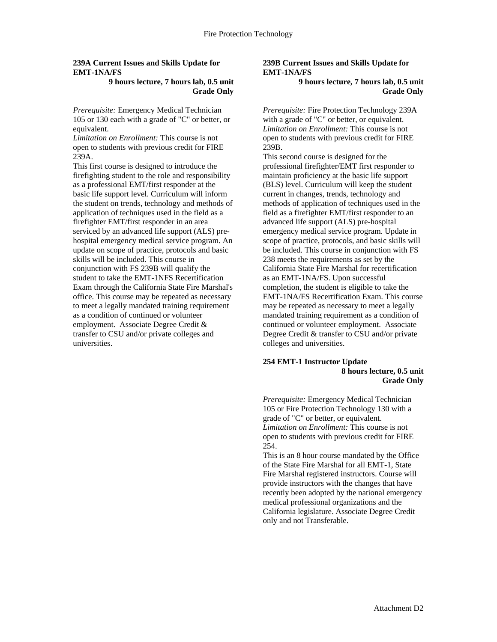#### **239A Current Issues and Skills Update for EMT-1NA/FS**

#### **9 hours lecture, 7 hours lab, 0.5 unit Grade Only**

*Prerequisite:* Emergency Medical Technician 105 or 130 each with a grade of "C" or better, or equivalent.

*Limitation on Enrollment:* This course is not open to students with previous credit for FIRE 239A.

This first course is designed to introduce the firefighting student to the role and responsibility as a professional EMT/first responder at the basic life support level. Curriculum will inform the student on trends, technology and methods of application of techniques used in the field as a firefighter EMT/first responder in an area serviced by an advanced life support (ALS) prehospital emergency medical service program. An update on scope of practice, protocols and basic skills will be included. This course in conjunction with FS 239B will qualify the student to take the EMT-1NFS Recertification Exam through the California State Fire Marshal's office. This course may be repeated as necessary to meet a legally mandated training requirement as a condition of continued or volunteer employment. Associate Degree Credit & transfer to CSU and/or private colleges and universities.

### **239B Current Issues and Skills Update for EMT-1NA/FS**

#### **9 hours lecture, 7 hours lab, 0.5 unit Grade Only**

*Prerequisite:* Fire Protection Technology 239A with a grade of "C" or better, or equivalent. *Limitation on Enrollment:* This course is not open to students with previous credit for FIRE 239B.

This second course is designed for the professional firefighter/EMT first responder to maintain proficiency at the basic life support (BLS) level. Curriculum will keep the student current in changes, trends, technology and methods of application of techniques used in the field as a firefighter EMT/first responder to an advanced life support (ALS) pre-hospital emergency medical service program. Update in scope of practice, protocols, and basic skills will be included. This course in conjunction with FS 238 meets the requirements as set by the California State Fire Marshal for recertification as an EMT-1NA/FS. Upon successful completion, the student is eligible to take the EMT-1NA/FS Recertification Exam. This course may be repeated as necessary to meet a legally mandated training requirement as a condition of continued or volunteer employment. Associate Degree Credit & transfer to CSU and/or private colleges and universities.

#### **254 EMT-1 Instructor Update 8 hours lecture, 0.5 unit Grade Only**

*Prerequisite:* Emergency Medical Technician 105 or Fire Protection Technology 130 with a grade of "C" or better, or equivalent. *Limitation on Enrollment:* This course is not open to students with previous credit for FIRE 254.

This is an 8 hour course mandated by the Office of the State Fire Marshal for all EMT-1, State Fire Marshal registered instructors. Course will provide instructors with the changes that have recently been adopted by the national emergency medical professional organizations and the California legislature. Associate Degree Credit only and not Transferable.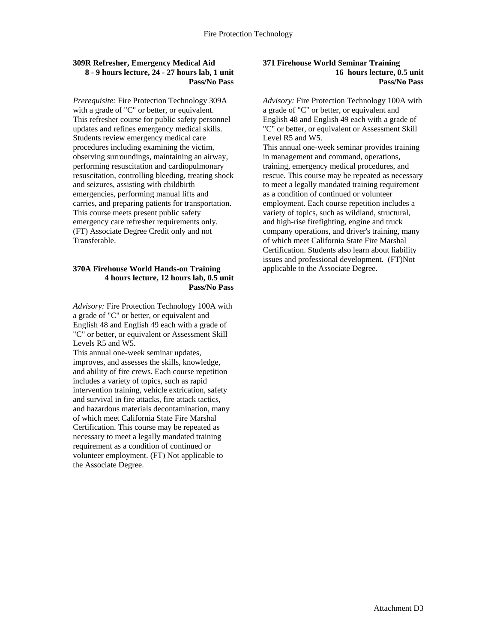#### **309R Refresher, Emergency Medical Aid 8 - 9 hours lecture, 24 - 27 hours lab, 1 unit Pass/No Pass**

*Prerequisite:* Fire Protection Technology 309A with a grade of "C" or better, or equivalent. This refresher course for public safety personnel updates and refines emergency medical skills. Students review emergency medical care procedures including examining the victim, observing surroundings, maintaining an airway, performing resuscitation and cardiopulmonary resuscitation, controlling bleeding, treating shock and seizures, assisting with childbirth emergencies, performing manual lifts and carries, and preparing patients for transportation. This course meets present public safety emergency care refresher requirements only. (FT) Associate Degree Credit only and not Transferable.

#### **370A Firehouse World Hands-on Training 4 hours lecture, 12 hours lab, 0.5 unit Pass/No Pass**

*Advisory:* Fire Protection Technology 100A with a grade of "C" or better, or equivalent and English 48 and English 49 each with a grade of "C" or better, or equivalent or Assessment Skill Levels R5 and W5.

This annual one-week seminar updates, improves, and assesses the skills, knowledge, and ability of fire crews. Each course repetition includes a variety of topics, such as rapid intervention training, vehicle extrication, safety and survival in fire attacks, fire attack tactics, and hazardous materials decontamination, many of which meet California State Fire Marshal Certification. This course may be repeated as necessary to meet a legally mandated training requirement as a condition of continued or volunteer employment. (FT) Not applicable to the Associate Degree.

#### **371 Firehouse World Seminar Training 16 hours lecture, 0.5 unit Pass/No Pass**

*Advisory:* Fire Protection Technology 100A with a grade of "C" or better, or equivalent and English 48 and English 49 each with a grade of "C" or better, or equivalent or Assessment Skill Level R5 and W5.

This annual one-week seminar provides training in management and command, operations, training, emergency medical procedures, and rescue. This course may be repeated as necessary to meet a legally mandated training requirement as a condition of continued or volunteer employment. Each course repetition includes a variety of topics, such as wildland, structural, and high-rise firefighting, engine and truck company operations, and driver's training, many of which meet California State Fire Marshal Certification. Students also learn about liability issues and professional development. (FT)Not applicable to the Associate Degree.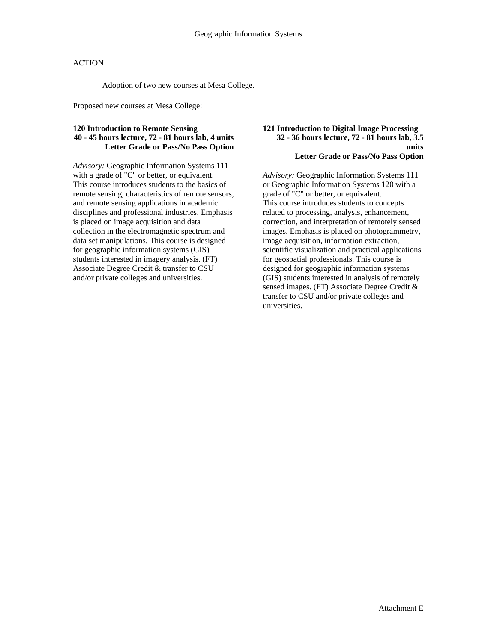Adoption of two new courses at Mesa College.

Proposed new courses at Mesa College:

### **120 Introduction to Remote Sensing 40 - 45 hours lecture, 72 - 81 hours lab, 4 units Letter Grade or Pass/No Pass Option**

*Advisory:* Geographic Information Systems 111 with a grade of "C" or better, or equivalent. This course introduces students to the basics of remote sensing, characteristics of remote sensors, and remote sensing applications in academic disciplines and professional industries. Emphasis is placed on image acquisition and data collection in the electromagnetic spectrum and data set manipulations. This course is designed for geographic information systems (GIS) students interested in imagery analysis. (FT) Associate Degree Credit & transfer to CSU and/or private colleges and universities.

#### **121 Introduction to Digital Image Processing 32 - 36 hours lecture, 72 - 81 hours lab, 3.5 units Letter Grade or Pass/No Pass Option**

*Advisory:* Geographic Information Systems 111 or Geographic Information Systems 120 with a grade of "C" or better, or equivalent. This course introduces students to concepts related to processing, analysis, enhancement, correction, and interpretation of remotely sensed images. Emphasis is placed on photogrammetry, image acquisition, information extraction, scientific visualization and practical applications for geospatial professionals. This course is designed for geographic information systems (GIS) students interested in analysis of remotely sensed images. (FT) Associate Degree Credit & transfer to CSU and/or private colleges and universities.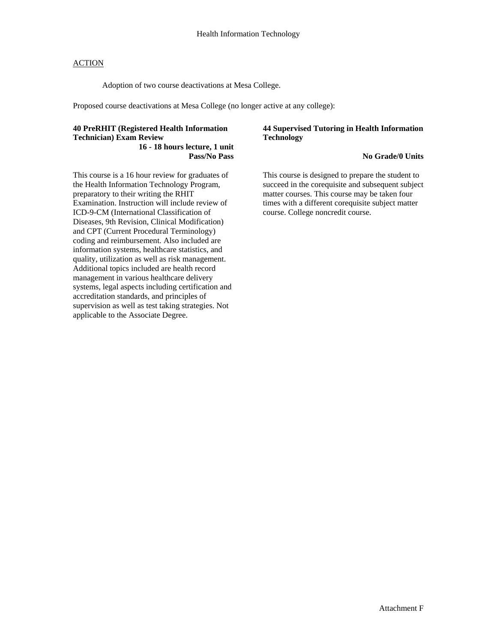Adoption of two course deactivations at Mesa College.

Proposed course deactivations at Mesa College (no longer active at any college):

#### **40 PreRHIT (Registered Health Information Technician) Exam Review 16 - 18 hours lecture, 1 unit**

**Pass/No Pass** 

This course is a 16 hour review for graduates of the Health Information Technology Program, preparatory to their writing the RHIT Examination. Instruction will include review of ICD-9-CM (International Classification of Diseases, 9th Revision, Clinical Modification) and CPT (Current Procedural Terminology) coding and reimbursement. Also included are information systems, healthcare statistics, and quality, utilization as well as risk management. Additional topics included are health record management in various healthcare delivery systems, legal aspects including certification and accreditation standards, and principles of supervision as well as test taking strategies. Not applicable to the Associate Degree.

#### **44 Supervised Tutoring in Health Information Technology**

#### **No Grade/0 Units**

This course is designed to prepare the student to succeed in the corequisite and subsequent subject matter courses. This course may be taken four times with a different corequisite subject matter course. College noncredit course.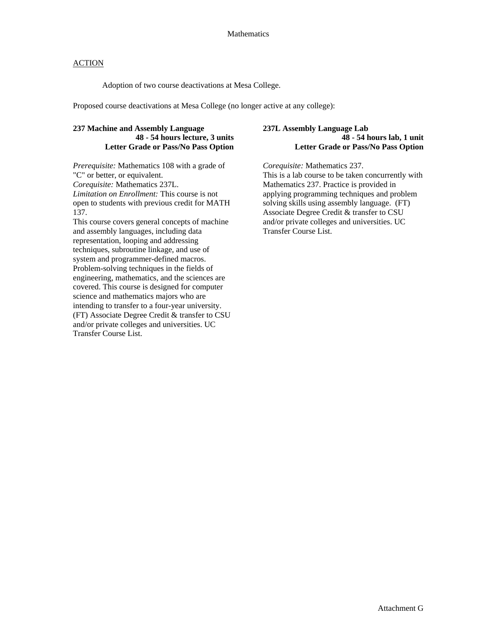#### Mathematics

#### ACTION

Adoption of two course deactivations at Mesa College.

Proposed course deactivations at Mesa College (no longer active at any college):

### **237 Machine and Assembly Language 48 - 54 hours lecture, 3 units Letter Grade or Pass/No Pass Option**

*Prerequisite:* Mathematics 108 with a grade of "C" or better, or equivalent. *Corequisite:* Mathematics 237L. *Limitation on Enrollment:* This course is not open to students with previous credit for MATH 137.

This course covers general concepts of machine and assembly languages, including data representation, looping and addressing techniques, subroutine linkage, and use of system and programmer-defined macros. Problem-solving techniques in the fields of engineering, mathematics, and the sciences are covered. This course is designed for computer science and mathematics majors who are intending to transfer to a four-year university. (FT) Associate Degree Credit & transfer to CSU and/or private colleges and universities. UC Transfer Course List.

#### **237L Assembly Language Lab 48 - 54 hours lab, 1 unit Letter Grade or Pass/No Pass Option**

*Corequisite:* Mathematics 237. This is a lab course to be taken concurrently with Mathematics 237. Practice is provided in applying programming techniques and problem solving skills using assembly language. (FT) Associate Degree Credit & transfer to CSU and/or private colleges and universities. UC Transfer Course List.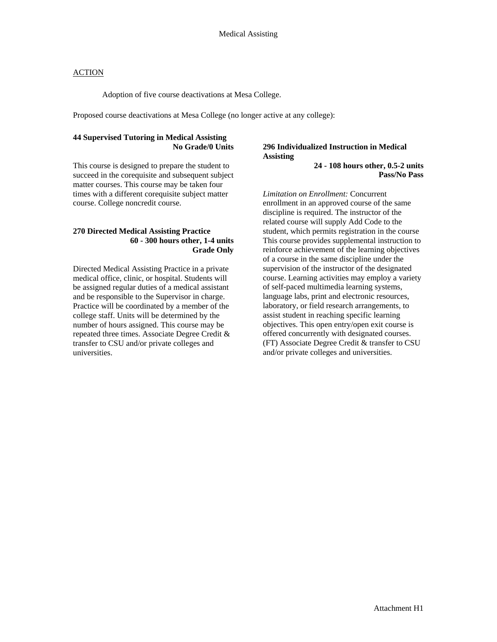Adoption of five course deactivations at Mesa College.

Proposed course deactivations at Mesa College (no longer active at any college):

### **44 Supervised Tutoring in Medical Assisting No Grade/0 Units**

This course is designed to prepare the student to succeed in the corequisite and subsequent subject matter courses. This course may be taken four times with a different corequisite subject matter course. College noncredit course.

#### **270 Directed Medical Assisting Practice 60 - 300 hours other, 1-4 units Grade Only**

Directed Medical Assisting Practice in a private medical office, clinic, or hospital. Students will be assigned regular duties of a medical assistant and be responsible to the Supervisor in charge. Practice will be coordinated by a member of the college staff. Units will be determined by the number of hours assigned. This course may be repeated three times. Associate Degree Credit & transfer to CSU and/or private colleges and universities.

## **296 Individualized Instruction in Medical Assisting**

**24 - 108 hours other, 0.5-2 units Pass/No Pass** 

*Limitation on Enrollment:* Concurrent enrollment in an approved course of the same discipline is required. The instructor of the related course will supply Add Code to the student, which permits registration in the course This course provides supplemental instruction to reinforce achievement of the learning objectives of a course in the same discipline under the supervision of the instructor of the designated course. Learning activities may employ a variety of self-paced multimedia learning systems, language labs, print and electronic resources, laboratory, or field research arrangements, to assist student in reaching specific learning objectives. This open entry/open exit course is offered concurrently with designated courses. (FT) Associate Degree Credit & transfer to CSU and/or private colleges and universities.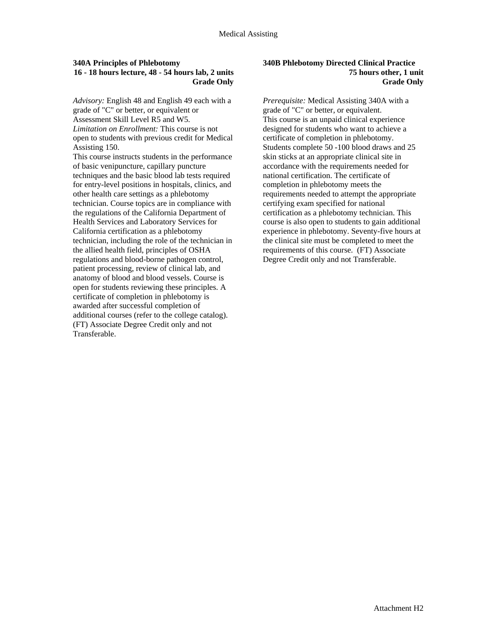#### **340A Principles of Phlebotomy 16 - 18 hours lecture, 48 - 54 hours lab, 2 units Grade Only**

*Advisory:* English 48 and English 49 each with a grade of "C" or better, or equivalent or Assessment Skill Level R5 and W5. *Limitation on Enrollment:* This course is not open to students with previous credit for Medical Assisting 150.

This course instructs students in the performance of basic venipuncture, capillary puncture techniques and the basic blood lab tests required for entry-level positions in hospitals, clinics, and other health care settings as a phlebotomy technician. Course topics are in compliance with the regulations of the California Department of Health Services and Laboratory Services for California certification as a phlebotomy technician, including the role of the technician in the allied health field, principles of OSHA regulations and blood-borne pathogen control, patient processing, review of clinical lab, and anatomy of blood and blood vessels. Course is open for students reviewing these principles. A certificate of completion in phlebotomy is awarded after successful completion of additional courses (refer to the college catalog). (FT) Associate Degree Credit only and not Transferable.

#### **340B Phlebotomy Directed Clinical Practice 75 hours other, 1 unit Grade Only**

*Prerequisite:* Medical Assisting 340A with a grade of "C" or better, or equivalent. This course is an unpaid clinical experience designed for students who want to achieve a certificate of completion in phlebotomy. Students complete 50 -100 blood draws and 25 skin sticks at an appropriate clinical site in accordance with the requirements needed for national certification. The certificate of completion in phlebotomy meets the requirements needed to attempt the appropriate certifying exam specified for national certification as a phlebotomy technician. This course is also open to students to gain additional experience in phlebotomy. Seventy-five hours at the clinical site must be completed to meet the requirements of this course. (FT) Associate Degree Credit only and not Transferable.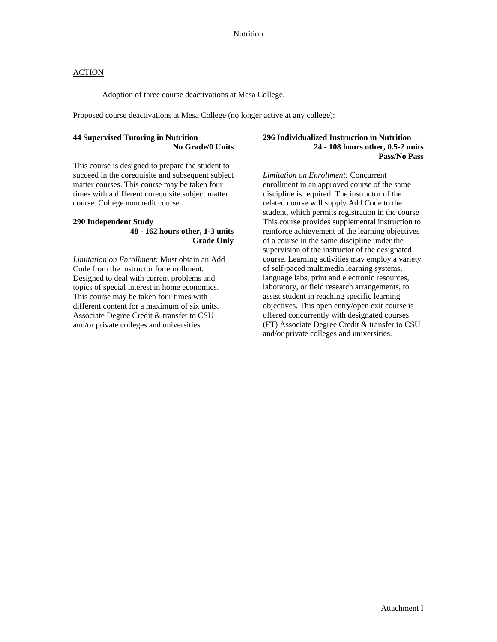Adoption of three course deactivations at Mesa College.

Proposed course deactivations at Mesa College (no longer active at any college):

### **44 Supervised Tutoring in Nutrition No Grade/0 Units**

This course is designed to prepare the student to succeed in the corequisite and subsequent subject matter courses. This course may be taken four times with a different corequisite subject matter course. College noncredit course.

# **290 Independent Study**

#### **48 - 162 hours other, 1-3 units Grade Only**

*Limitation on Enrollment:* Must obtain an Add Code from the instructor for enrollment. Designed to deal with current problems and topics of special interest in home economics. This course may be taken four times with different content for a maximum of six units. Associate Degree Credit & transfer to CSU and/or private colleges and universities.

#### **296 Individualized Instruction in Nutrition 24 - 108 hours other, 0.5-2 units Pass/No Pass**

*Limitation on Enrollment:* Concurrent enrollment in an approved course of the same discipline is required. The instructor of the related course will supply Add Code to the student, which permits registration in the course This course provides supplemental instruction to reinforce achievement of the learning objectives of a course in the same discipline under the supervision of the instructor of the designated course. Learning activities may employ a variety of self-paced multimedia learning systems, language labs, print and electronic resources, laboratory, or field research arrangements, to assist student in reaching specific learning objectives. This open entry/open exit course is offered concurrently with designated courses. (FT) Associate Degree Credit & transfer to CSU and/or private colleges and universities.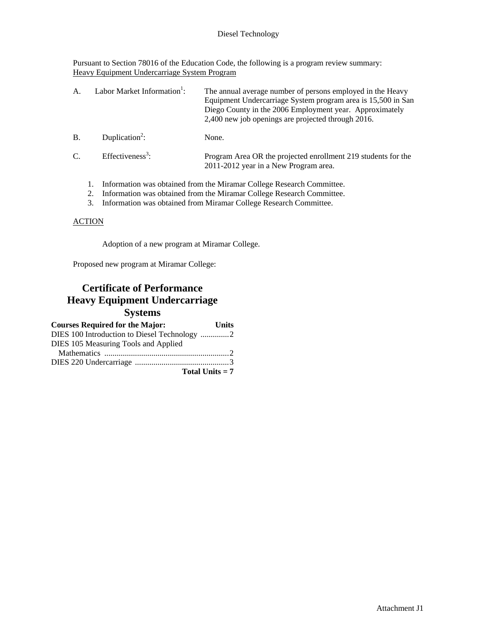Pursuant to Section 78016 of the Education Code, the following is a program review summary: Heavy Equipment Undercarriage System Program

| Α.            | Labor Market Information <sup>1</sup> : | The annual average number of persons employed in the Heavy<br>Equipment Undercarriage System program area is 15,500 in San<br>Diego County in the 2006 Employment year. Approximately<br>2,400 new job openings are projected through 2016. |
|---------------|-----------------------------------------|---------------------------------------------------------------------------------------------------------------------------------------------------------------------------------------------------------------------------------------------|
| <b>B</b> .    | Duplication <sup>2</sup> :              | None.                                                                                                                                                                                                                                       |
| $\mathcal{C}$ | Effectiveness <sup>3</sup> :            | Program Area OR the projected enrollment 219 students for the<br>2011-2012 year in a New Program area.                                                                                                                                      |
|               |                                         | Information was obtained from the Miramar College Research Committee.<br>2. Information was absoluted from the Mineman Callege December Committee                                                                                           |

2. Information was obtained from the Miramar College Research Committee. 3. Information was obtained from Miramar College Research Committee.

#### **ACTION**

Adoption of a new program at Miramar College.

Proposed new program at Miramar College:

# **Certificate of Performance Heavy Equipment Undercarriage Systems**

| <b>Courses Required for the Major:</b> | Units             |
|----------------------------------------|-------------------|
|                                        |                   |
| DIES 105 Measuring Tools and Applied   |                   |
|                                        |                   |
|                                        |                   |
|                                        | Total Units $= 7$ |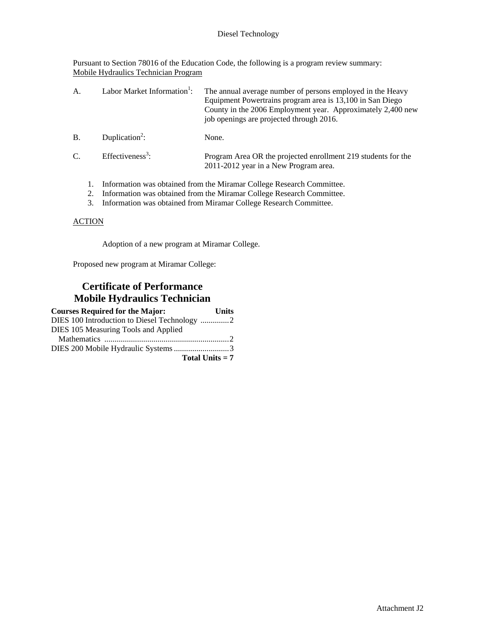Pursuant to Section 78016 of the Education Code, the following is a program review summary: Mobile Hydraulics Technician Program

| A.              | Labor Market Information <sup>1</sup> : | The annual average number of persons employed in the Heavy<br>Equipment Powertrains program area is 13,100 in San Diego<br>County in the 2006 Employment year. Approximately 2,400 new<br>job openings are projected through 2016. |
|-----------------|-----------------------------------------|------------------------------------------------------------------------------------------------------------------------------------------------------------------------------------------------------------------------------------|
| <b>B.</b>       | Duplication <sup>2</sup> :              | None.                                                                                                                                                                                                                              |
| $\mathcal{C}$ . | Effectiveness <sup>3</sup> :            | Program Area OR the projected enrollment 219 students for the<br>2011-2012 year in a New Program area.                                                                                                                             |
|                 |                                         | Information was obtained from the Miramar College Research Committee.<br>Information was obtained from the Miramar College Research Committee.                                                                                     |

3. Information was obtained from Miramar College Research Committee.

#### **ACTION**

Adoption of a new program at Miramar College.

Proposed new program at Miramar College:

# **Certificate of Performance Mobile Hydraulics Technician**

| <b>Courses Required for the Major:</b> | <b>Units</b>      |
|----------------------------------------|-------------------|
|                                        |                   |
| DIES 105 Measuring Tools and Applied   |                   |
|                                        |                   |
|                                        |                   |
|                                        | Total Units $= 7$ |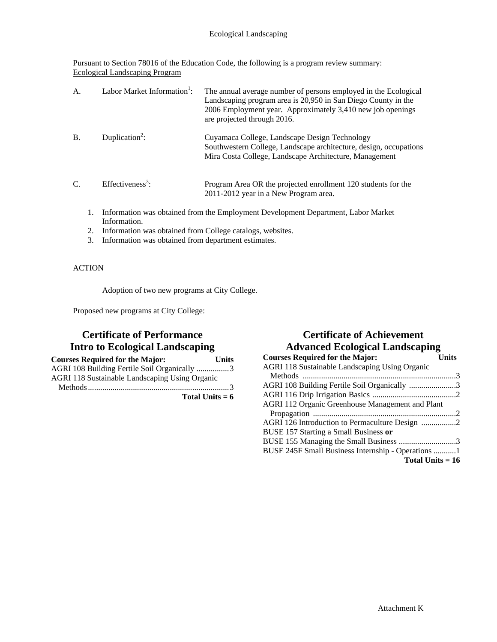Pursuant to Section 78016 of the Education Code, the following is a program review summary: Ecological Landscaping Program

| A.        | Labor Market Information <sup>1</sup> : | The annual average number of persons employed in the Ecological<br>Landscaping program area is 20,950 in San Diego County in the<br>2006 Employment year. Approximately 3,410 new job openings<br>are projected through 2016. |
|-----------|-----------------------------------------|-------------------------------------------------------------------------------------------------------------------------------------------------------------------------------------------------------------------------------|
| <b>B.</b> | Duplication <sup>2</sup> :              | Cuyamaca College, Landscape Design Technology<br>Southwestern College, Landscape architecture, design, occupations<br>Mira Costa College, Landscape Architecture, Management                                                  |
| C.        | Effectiveness <sup>3</sup> :            | Program Area OR the projected enrollment 120 students for the<br>2011-2012 year in a New Program area.                                                                                                                        |
|           |                                         | Information was obtained from the Employment Development Department, Labor Market                                                                                                                                             |

- Information.
- 2. Information was obtained from College catalogs, websites.
- 3. Information was obtained from department estimates.

### **ACTION**

Adoption of two new programs at City College.

Proposed new programs at City College:

# **Certificate of Performance Intro to Ecological Landscaping**

| <b>Courses Required for the Major:</b>                | <b>Units</b> |
|-------------------------------------------------------|--------------|
| AGRI 108 Building Fertile Soil Organically 3          |              |
| <b>AGRI 118 Sustainable Landscaping Using Organic</b> |              |
|                                                       |              |
| Total Units $= 6$                                     |              |

# **Certificate of Achievement Advanced Ecological Landscaping**

| <b>Courses Required for the Major:</b>             | Units |
|----------------------------------------------------|-------|
| AGRI 118 Sustainable Landscaping Using Organic     |       |
|                                                    |       |
| AGRI 108 Building Fertile Soil Organically 3       |       |
|                                                    |       |
| AGRI 112 Organic Greenhouse Management and Plant   |       |
|                                                    |       |
|                                                    |       |
| BUSE 157 Starting a Small Business or              |       |
|                                                    |       |
| BUSE 245F Small Business Internship - Operations 1 |       |
| Total Units $= 16$                                 |       |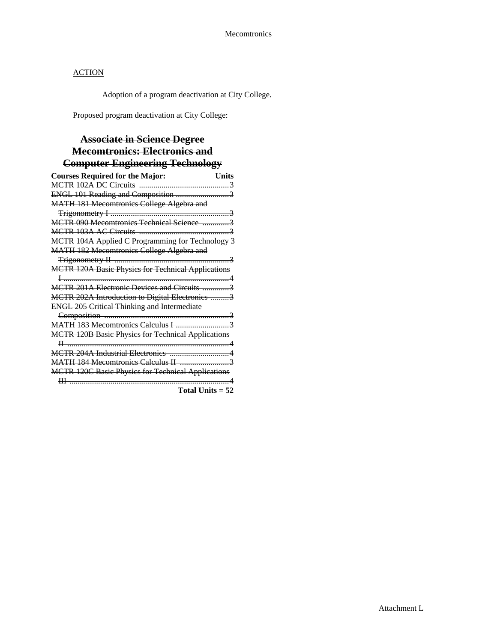Adoption of a program deactivation at City College.

Proposed program deactivation at City College:

# **Associate in Science Degree Mecomtronics: Electronics and Computer Engineering Technology**

| <b>Courses Required for the Major:</b><br>-Units          |
|-----------------------------------------------------------|
|                                                           |
| ENGL 101 Reading and Composition 3                        |
| <b>MATH 181 Mecomtronics College Algebra and</b>          |
|                                                           |
| MCTR 090 Mecomtronics Technical Science 3                 |
|                                                           |
| MCTR 104A Applied C Programming for Technology 3          |
| <b>MATH 182 Mecomtronics College Algebra and</b>          |
|                                                           |
| <b>MCTR 120A Basic Physics for Technical Applications</b> |
|                                                           |
| MCTR 201A Electronic Devices and Circuits 3               |
| MCTR 202A Introduction to Digital Electronics 3           |
| <b>ENGL 205 Critical Thinking and Intermediate</b>        |
|                                                           |
| MATH 183 Mecomtronics Calculus I 3                        |
| <b>MCTR 120B Basic Physics for Technical Applications</b> |
|                                                           |
|                                                           |
|                                                           |
| <b>MCTR 120C Basic Physics for Technical Applications</b> |
|                                                           |

**Total Units = 52**